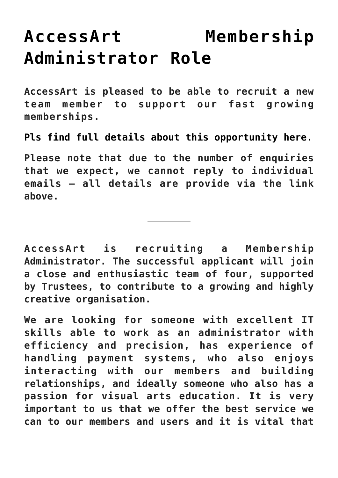## **[AccessArt Membership](https://www.accessart.org.uk/accessart-membership-administrator-role/) [Administrator Role](https://www.accessart.org.uk/accessart-membership-administrator-role/)**

**AccessArt is pleased to be able to recruit a new team member to support our fast growing memberships.**

**[Pls find full details about this opportunity here.](http://www.accessart.org.uk/wp-content/uploads/2022/02/AccessArt-Membership-Administrator-Role-February-2022.pdf)**

**Please note that due to the number of enquiries that we expect, we cannot reply to individual emails – all details are provide via the link above.**

**AccessArt is recruiting a Membership Administrator. The successful applicant will join a close and enthusiastic team of four, supported by Trustees, to contribute to a growing and highly creative organisation.**

**We are looking for someone with excellent IT skills able to work as an administrator with efficiency and precision, has experience of handling payment systems, who also enjoys interacting with our members and building relationships, and ideally someone who also has a passion for visual arts education. It is very important to us that we offer the best service we can to our members and users and it is vital that**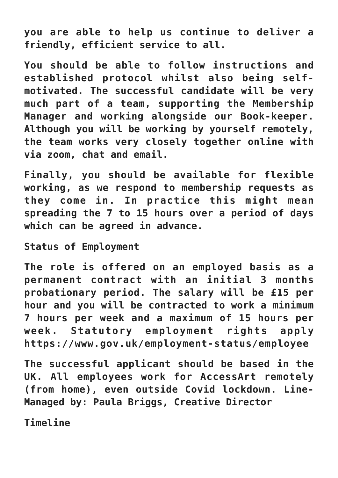**you are able to help us continue to deliver a friendly, efficient service to all.**

**You should be able to follow instructions and established protocol whilst also being selfmotivated. The successful candidate will be very much part of a team, supporting the Membership Manager and working alongside our Book-keeper. Although you will be working by yourself remotely, the team works very closely together online with via zoom, chat and email.**

**Finally, you should be available for flexible working, as we respond to membership requests as they come in. In practice this might mean spreading the 7 to 15 hours over a period of days which can be agreed in advance.**

**Status of Employment**

**The role is offered on an employed basis as a permanent contract with an initial 3 months probationary period. The salary will be £15 per hour and you will be contracted to work a minimum 7 hours per week and a maximum of 15 hours per week. Statutory employment rights apply https://www.gov.uk/employment-status/employee**

**The successful applicant should be based in the UK. All employees work for AccessArt remotely (from home), even outside Covid lockdown. Line-Managed by: Paula Briggs, Creative Director**

**Timeline**